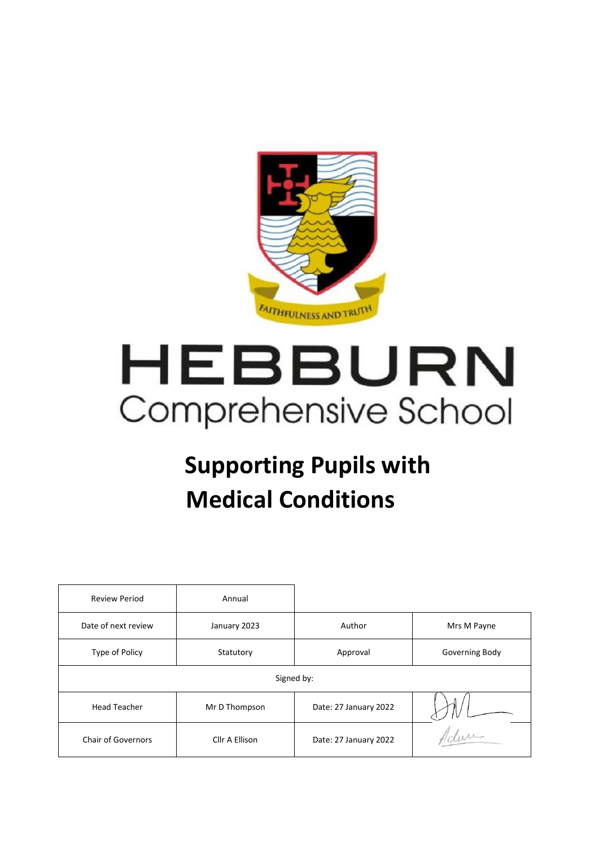

# HEBBURN Comprehensive School

## **Supporting Pupils with Medical Conditions**

| <b>Review Period</b>      | Annual         |                       |                |
|---------------------------|----------------|-----------------------|----------------|
| Date of next review       | January 2023   | Author                | Mrs M Payne    |
| Type of Policy            | Statutory      | Approval              | Governing Body |
| Signed by:                |                |                       |                |
| <b>Head Teacher</b>       | Mr D Thompson  | Date: 27 January 2022 |                |
| <b>Chair of Governors</b> | Cllr A Ellison | Date: 27 January 2022 | Idan           |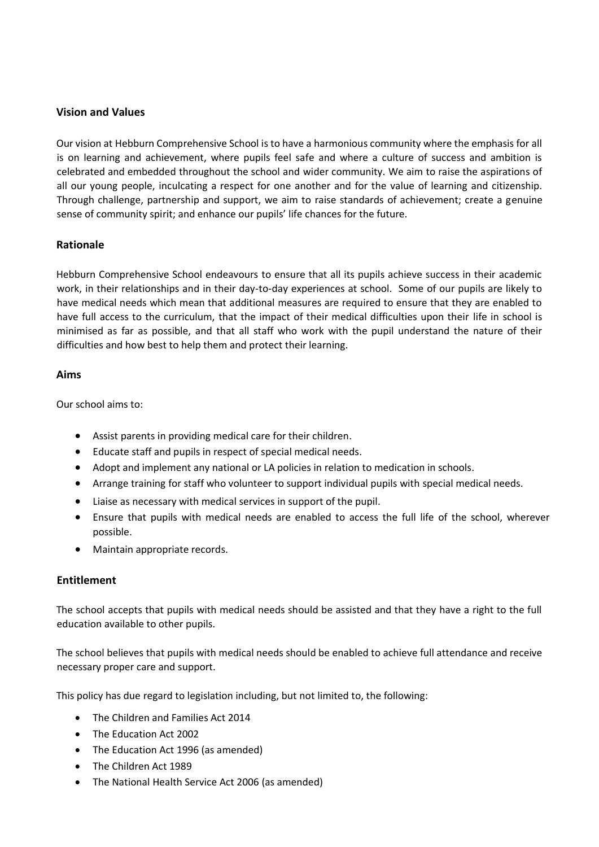#### **Vision and Values**

Our vision at Hebburn Comprehensive School is to have a harmonious community where the emphasis for all is on learning and achievement, where pupils feel safe and where a culture of success and ambition is celebrated and embedded throughout the school and wider community. We aim to raise the aspirations of all our young people, inculcating a respect for one another and for the value of learning and citizenship. Through challenge, partnership and support, we aim to raise standards of achievement; create a genuine sense of community spirit; and enhance our pupils' life chances for the future.

#### **Rationale**

Hebburn Comprehensive School endeavours to ensure that all its pupils achieve success in their academic work, in their relationships and in their day-to-day experiences at school. Some of our pupils are likely to have medical needs which mean that additional measures are required to ensure that they are enabled to have full access to the curriculum, that the impact of their medical difficulties upon their life in school is minimised as far as possible, and that all staff who work with the pupil understand the nature of their difficulties and how best to help them and protect their learning.

#### **Aims**

Our school aims to:

- Assist parents in providing medical care for their children.
- Educate staff and pupils in respect of special medical needs.
- Adopt and implement any national or LA policies in relation to medication in schools.
- Arrange training for staff who volunteer to support individual pupils with special medical needs.
- Liaise as necessary with medical services in support of the pupil.
- Ensure that pupils with medical needs are enabled to access the full life of the school, wherever possible.
- Maintain appropriate records.

#### **Entitlement**

The school accepts that pupils with medical needs should be assisted and that they have a right to the full education available to other pupils.

The school believes that pupils with medical needs should be enabled to achieve full attendance and receive necessary proper care and support.

This policy has due regard to legislation including, but not limited to, the following:

- The Children and Families Act 2014
- The Education Act 2002
- The Education Act 1996 (as amended)
- The Children Act 1989
- The National Health Service Act 2006 (as amended)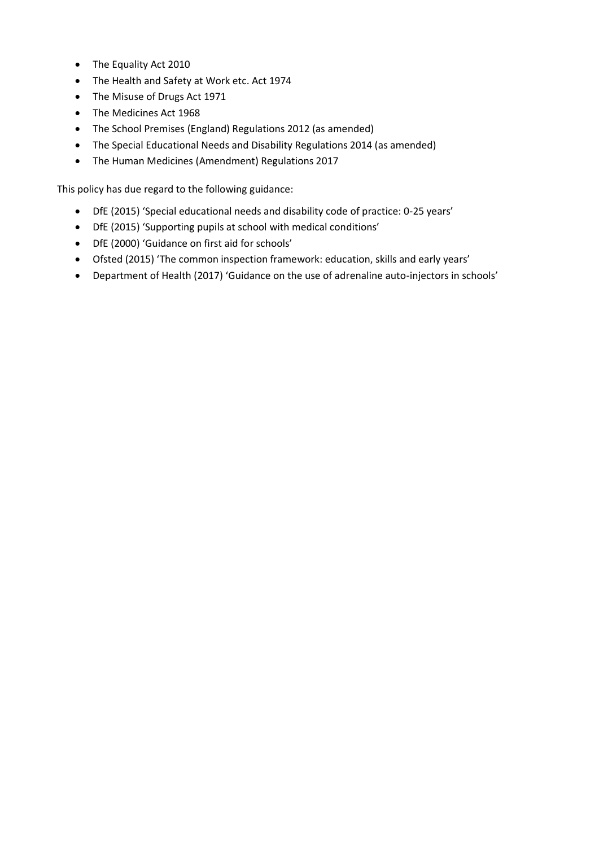- The Equality Act 2010
- The Health and Safety at Work etc. Act 1974
- The Misuse of Drugs Act 1971
- The Medicines Act 1968
- The School Premises (England) Regulations 2012 (as amended)
- The Special Educational Needs and Disability Regulations 2014 (as amended)
- The Human Medicines (Amendment) Regulations 2017

This policy has due regard to the following guidance:

- DfE (2015) 'Special educational needs and disability code of practice: 0-25 years'
- DfE (2015) 'Supporting pupils at school with medical conditions'
- DfE (2000) 'Guidance on first aid for schools'
- Ofsted (2015) 'The common inspection framework: education, skills and early years'
- Department of Health (2017) 'Guidance on the use of adrenaline auto-injectors in schools'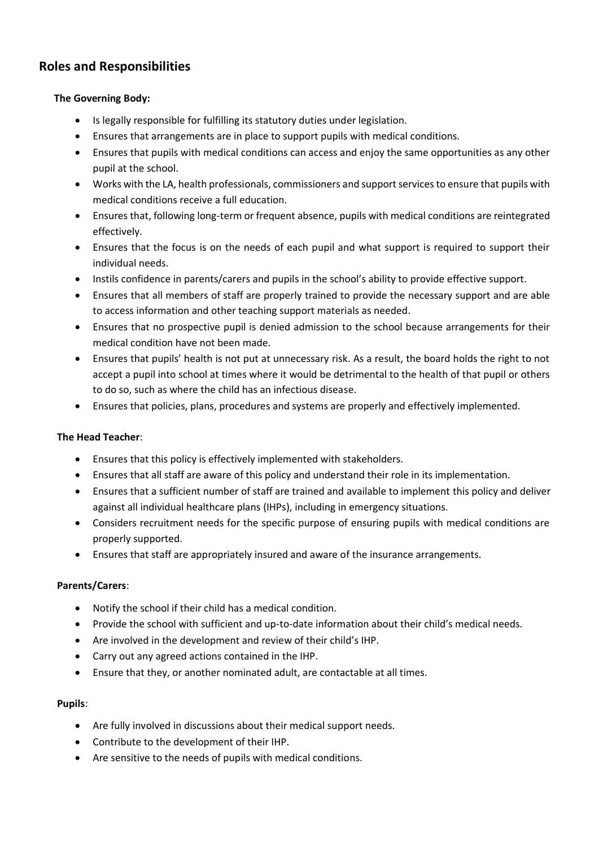#### **Roles and Responsibilities**

#### **The Governing Body:**

- Is legally responsible for fulfilling its statutory duties under legislation.
- Ensures that arrangements are in place to support pupils with medical conditions.
- Ensures that pupils with medical conditions can access and enjoy the same opportunities as any other pupil at the school.
- Works with the LA, health professionals, commissioners and support services to ensure that pupils with medical conditions receive a full education.
- Ensures that, following long-term or frequent absence, pupils with medical conditions are reintegrated effectively.
- Ensures that the focus is on the needs of each pupil and what support is required to support their individual needs.
- Instils confidence in parents/carers and pupils in the school's ability to provide effective support.
- Ensures that all members of staff are properly trained to provide the necessary support and are able to access information and other teaching support materials as needed.
- Ensures that no prospective pupil is denied admission to the school because arrangements for their medical condition have not been made.
- Ensures that pupils' health is not put at unnecessary risk. As a result, the board holds the right to not accept a pupil into school at times where it would be detrimental to the health of that pupil or others to do so, such as where the child has an infectious disease.
- Ensures that policies, plans, procedures and systems are properly and effectively implemented.

#### **The Head Teacher**:

- Ensures that this policy is effectively implemented with stakeholders.
- Ensures that all staff are aware of this policy and understand their role in its implementation.
- Ensures that a sufficient number of staff are trained and available to implement this policy and deliver against all individual healthcare plans (IHPs), including in emergency situations.
- Considers recruitment needs for the specific purpose of ensuring pupils with medical conditions are properly supported.
- Ensures that staff are appropriately insured and aware of the insurance arrangements.

#### **Parents/Carers**:

- Notify the school if their child has a medical condition.
- Provide the school with sufficient and up-to-date information about their child's medical needs.
- Are involved in the development and review of their child's IHP.
- Carry out any agreed actions contained in the IHP.
- Ensure that they, or another nominated adult, are contactable at all times.

#### **Pupils**:

- Are fully involved in discussions about their medical support needs.
- Contribute to the development of their IHP.
- Are sensitive to the needs of pupils with medical conditions.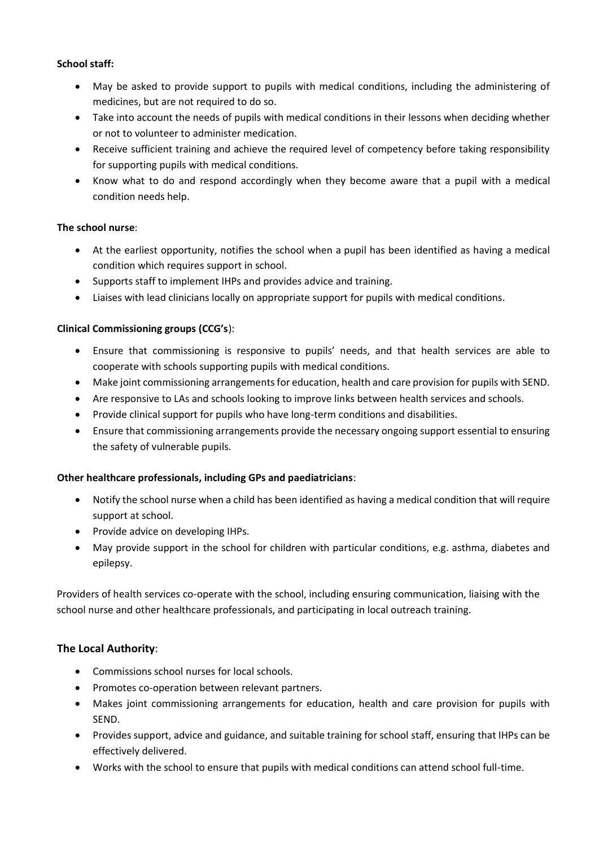#### **School staff:**

- May be asked to provide support to pupils with medical conditions, including the administering of medicines, but are not required to do so.
- Take into account the needs of pupils with medical conditions in their lessons when deciding whether or not to volunteer to administer medication.
- Receive sufficient training and achieve the required level of competency before taking responsibility for supporting pupils with medical conditions.
- Know what to do and respond accordingly when they become aware that a pupil with a medical condition needs help.

#### **The school nurse**:

- At the earliest opportunity, notifies the school when a pupil has been identified as having a medical condition which requires support in school.
- Supports staff to implement IHPs and provides advice and training.
- Liaises with lead clinicians locally on appropriate support for pupils with medical conditions.

#### **Clinical Commissioning groups (CCG's**):

- Ensure that commissioning is responsive to pupils' needs, and that health services are able to cooperate with schools supporting pupils with medical conditions.
- Make joint commissioning arrangements for education, health and care provision for pupils with SEND.
- Are responsive to LAs and schools looking to improve links between health services and schools.
- Provide clinical support for pupils who have long-term conditions and disabilities.
- Ensure that commissioning arrangements provide the necessary ongoing support essential to ensuring the safety of vulnerable pupils.

#### **Other healthcare professionals, including GPs and paediatricians**:

- Notify the school nurse when a child has been identified as having a medical condition that will require support at school.
- Provide advice on developing IHPs.
- May provide support in the school for children with particular conditions, e.g. asthma, diabetes and epilepsy.

Providers of health services co-operate with the school, including ensuring communication, liaising with the school nurse and other healthcare professionals, and participating in local outreach training.

#### **The Local Authority**:

- Commissions school nurses for local schools.
- Promotes co-operation between relevant partners.
- Makes joint commissioning arrangements for education, health and care provision for pupils with SEND.
- Provides support, advice and guidance, and suitable training for school staff, ensuring that IHPs can be effectively delivered.
- Works with the school to ensure that pupils with medical conditions can attend school full-time.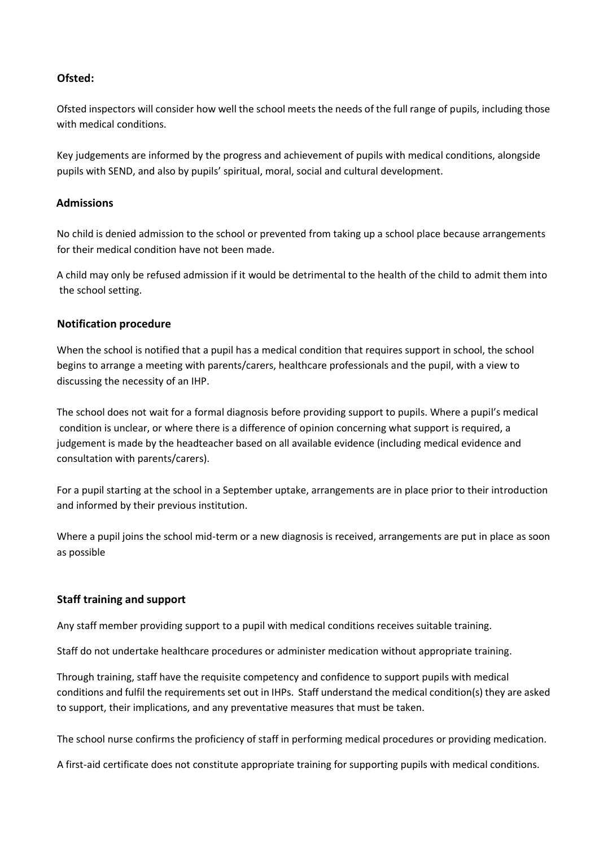#### **Ofsted:**

Ofsted inspectors will consider how well the school meets the needs of the full range of pupils, including those with medical conditions.

Key judgements are informed by the progress and achievement of pupils with medical conditions, alongside pupils with SEND, and also by pupils' spiritual, moral, social and cultural development.

#### **Admissions**

No child is denied admission to the school or prevented from taking up a school place because arrangements for their medical condition have not been made.

A child may only be refused admission if it would be detrimental to the health of the child to admit them into the school setting.

#### **Notification procedure**

When the school is notified that a pupil has a medical condition that requires support in school, the school begins to arrange a meeting with parents/carers, healthcare professionals and the pupil, with a view to discussing the necessity of an IHP.

The school does not wait for a formal diagnosis before providing support to pupils. Where a pupil's medical condition is unclear, or where there is a difference of opinion concerning what support is required, a judgement is made by the headteacher based on all available evidence (including medical evidence and consultation with parents/carers).

For a pupil starting at the school in a September uptake, arrangements are in place prior to their introduction and informed by their previous institution.

Where a pupil joins the school mid-term or a new diagnosis is received, arrangements are put in place as soon as possible

#### **Staff training and support**

Any staff member providing support to a pupil with medical conditions receives suitable training.

Staff do not undertake healthcare procedures or administer medication without appropriate training.

Through training, staff have the requisite competency and confidence to support pupils with medical conditions and fulfil the requirements set out in IHPs. Staff understand the medical condition(s) they are asked to support, their implications, and any preventative measures that must be taken.

The school nurse confirms the proficiency of staff in performing medical procedures or providing medication.

A first-aid certificate does not constitute appropriate training for supporting pupils with medical conditions.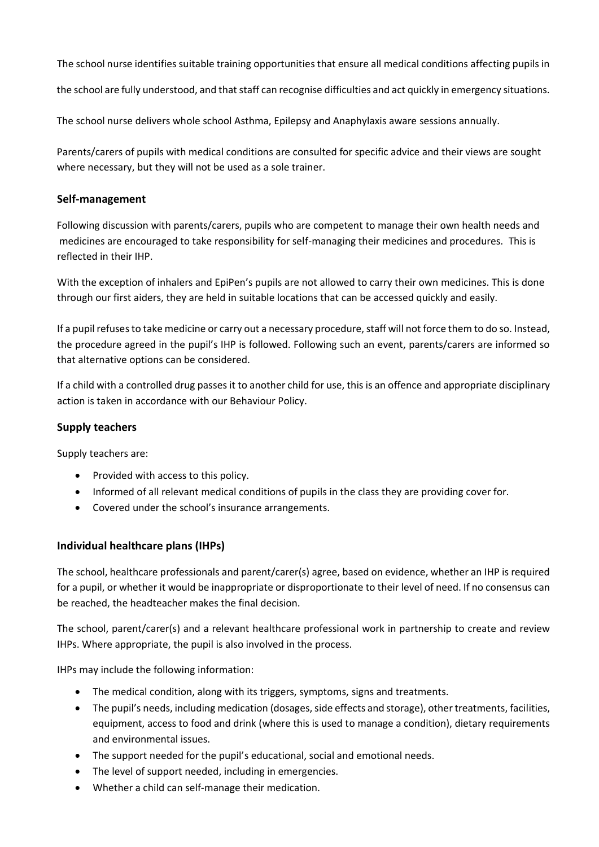The school nurse identifies suitable training opportunities that ensure all medical conditions affecting pupils in

the school are fully understood, and that staff can recognise difficulties and act quickly in emergency situations.

The school nurse delivers whole school Asthma, Epilepsy and Anaphylaxis aware sessions annually.

Parents/carers of pupils with medical conditions are consulted for specific advice and their views are sought where necessary, but they will not be used as a sole trainer.

#### **Self-management**

Following discussion with parents/carers, pupils who are competent to manage their own health needs and medicines are encouraged to take responsibility for self-managing their medicines and procedures. This is reflected in their IHP.

With the exception of inhalers and EpiPen's pupils are not allowed to carry their own medicines. This is done through our first aiders, they are held in suitable locations that can be accessed quickly and easily.

If a pupil refuses to take medicine or carry out a necessary procedure, staff will not force them to do so. Instead, the procedure agreed in the pupil's IHP is followed. Following such an event, parents/carers are informed so that alternative options can be considered.

If a child with a controlled drug passes it to another child for use, this is an offence and appropriate disciplinary action is taken in accordance with our Behaviour Policy.

#### **Supply teachers**

Supply teachers are:

- Provided with access to this policy.
- Informed of all relevant medical conditions of pupils in the class they are providing cover for.
- Covered under the school's insurance arrangements.

#### **Individual healthcare plans (IHPs)**

The school, healthcare professionals and parent/carer(s) agree, based on evidence, whether an IHP is required for a pupil, or whether it would be inappropriate or disproportionate to their level of need. If no consensus can be reached, the headteacher makes the final decision.

The school, parent/carer(s) and a relevant healthcare professional work in partnership to create and review IHPs. Where appropriate, the pupil is also involved in the process.

IHPs may include the following information:

- The medical condition, along with its triggers, symptoms, signs and treatments.
- The pupil's needs, including medication (dosages, side effects and storage), other treatments, facilities, equipment, access to food and drink (where this is used to manage a condition), dietary requirements and environmental issues.
- The support needed for the pupil's educational, social and emotional needs.
- The level of support needed, including in emergencies.
- Whether a child can self-manage their medication.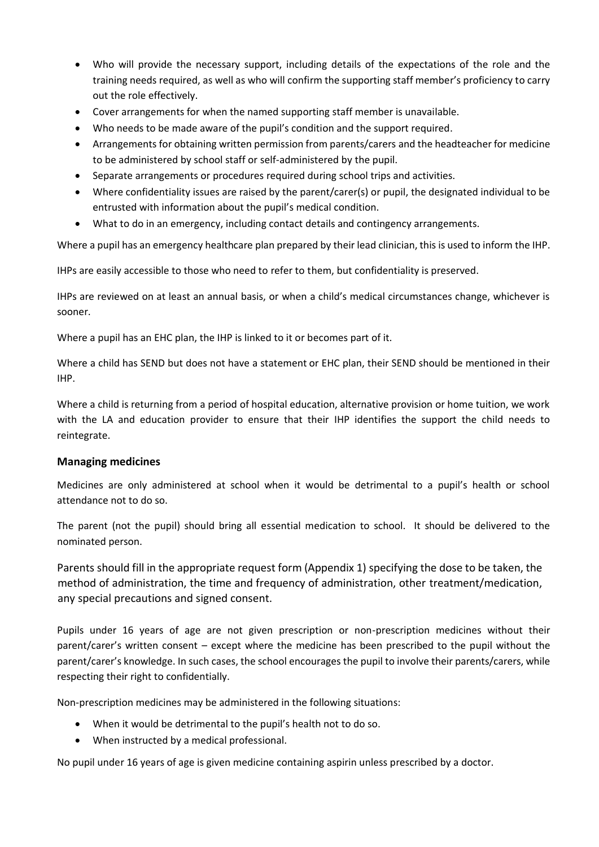- Who will provide the necessary support, including details of the expectations of the role and the training needs required, as well as who will confirm the supporting staff member's proficiency to carry out the role effectively.
- Cover arrangements for when the named supporting staff member is unavailable.
- Who needs to be made aware of the pupil's condition and the support required.
- Arrangements for obtaining written permission from parents/carers and the headteacher for medicine to be administered by school staff or self-administered by the pupil.
- Separate arrangements or procedures required during school trips and activities.
- Where confidentiality issues are raised by the parent/carer(s) or pupil, the designated individual to be entrusted with information about the pupil's medical condition.
- What to do in an emergency, including contact details and contingency arrangements.

Where a pupil has an emergency healthcare plan prepared by their lead clinician, this is used to inform the IHP.

IHPs are easily accessible to those who need to refer to them, but confidentiality is preserved.

IHPs are reviewed on at least an annual basis, or when a child's medical circumstances change, whichever is sooner.

Where a pupil has an EHC plan, the IHP is linked to it or becomes part of it.

Where a child has SEND but does not have a statement or EHC plan, their SEND should be mentioned in their IHP.

Where a child is returning from a period of hospital education, alternative provision or home tuition, we work with the LA and education provider to ensure that their IHP identifies the support the child needs to reintegrate.

#### **Managing medicines**

Medicines are only administered at school when it would be detrimental to a pupil's health or school attendance not to do so.

The parent (not the pupil) should bring all essential medication to school. It should be delivered to the nominated person.

Parents should fill in the appropriate request form (Appendix 1) specifying the dose to be taken, the method of administration, the time and frequency of administration, other treatment/medication, any special precautions and signed consent.

Pupils under 16 years of age are not given prescription or non-prescription medicines without their parent/carer's written consent – except where the medicine has been prescribed to the pupil without the parent/carer's knowledge. In such cases, the school encourages the pupil to involve their parents/carers, while respecting their right to confidentially.

Non-prescription medicines may be administered in the following situations:

- When it would be detrimental to the pupil's health not to do so.
- When instructed by a medical professional.

No pupil under 16 years of age is given medicine containing aspirin unless prescribed by a doctor.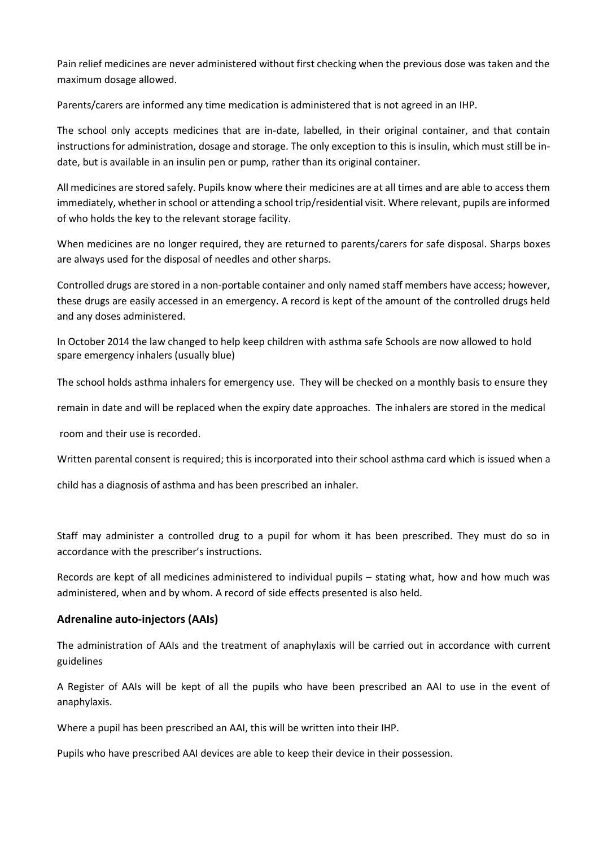Pain relief medicines are never administered without first checking when the previous dose was taken and the maximum dosage allowed.

Parents/carers are informed any time medication is administered that is not agreed in an IHP.

The school only accepts medicines that are in-date, labelled, in their original container, and that contain instructions for administration, dosage and storage. The only exception to this is insulin, which must still be indate, but is available in an insulin pen or pump, rather than its original container.

All medicines are stored safely. Pupils know where their medicines are at all times and are able to access them immediately, whether in school or attending a school trip/residential visit. Where relevant, pupils are informed of who holds the key to the relevant storage facility.

When medicines are no longer required, they are returned to parents/carers for safe disposal. Sharps boxes are always used for the disposal of needles and other sharps.

Controlled drugs are stored in a non-portable container and only named staff members have access; however, these drugs are easily accessed in an emergency. A record is kept of the amount of the controlled drugs held and any doses administered.

In October 2014 the law changed to help keep children with asthma safe Schools are now allowed to hold spare emergency inhalers (usually blue)

The school holds asthma inhalers for emergency use. They will be checked on a monthly basis to ensure they

remain in date and will be replaced when the expiry date approaches. The inhalers are stored in the medical

room and their use is recorded.

Written parental consent is required; this is incorporated into their school asthma card which is issued when a

child has a diagnosis of asthma and has been prescribed an inhaler.

Staff may administer a controlled drug to a pupil for whom it has been prescribed. They must do so in accordance with the prescriber's instructions.

Records are kept of all medicines administered to individual pupils – stating what, how and how much was administered, when and by whom. A record of side effects presented is also held.

#### **Adrenaline auto-injectors (AAIs)**

The administration of AAIs and the treatment of anaphylaxis will be carried out in accordance with current guidelines

A Register of AAIs will be kept of all the pupils who have been prescribed an AAI to use in the event of anaphylaxis.

Where a pupil has been prescribed an AAI, this will be written into their IHP.

Pupils who have prescribed AAI devices are able to keep their device in their possession.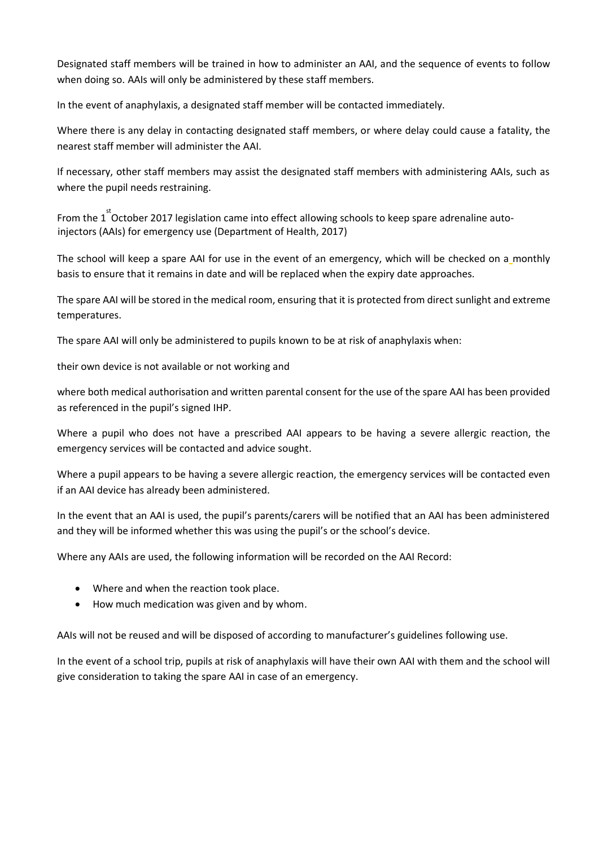Designated staff members will be trained in how to administer an AAI, and the sequence of events to follow when doing so. AAIs will only be administered by these staff members.

In the event of anaphylaxis, a designated staff member will be contacted immediately.

Where there is any delay in contacting designated staff members, or where delay could cause a fatality, the nearest staff member will administer the AAI.

If necessary, other staff members may assist the designated staff members with administering AAIs, such as where the pupil needs restraining.

From the  $1^{st}$ October 2017 legislation came into effect allowing schools to keep spare adrenaline autoinjectors (AAIs) for emergency use (Department of Health, 2017)

The school will keep a spare AAI for use in the event of an emergency, which will be checked on a monthly basis to ensure that it remains in date and will be replaced when the expiry date approaches.

The spare AAI will be stored in the medical room, ensuring that it is protected from direct sunlight and extreme temperatures.

The spare AAI will only be administered to pupils known to be at risk of anaphylaxis when:

their own device is not available or not working and

where both medical authorisation and written parental consent for the use of the spare AAI has been provided as referenced in the pupil's signed IHP.

Where a pupil who does not have a prescribed AAI appears to be having a severe allergic reaction, the emergency services will be contacted and advice sought.

Where a pupil appears to be having a severe allergic reaction, the emergency services will be contacted even if an AAI device has already been administered.

In the event that an AAI is used, the pupil's parents/carers will be notified that an AAI has been administered and they will be informed whether this was using the pupil's or the school's device.

Where any AAIs are used, the following information will be recorded on the AAI Record:

- Where and when the reaction took place.
- How much medication was given and by whom.

AAIs will not be reused and will be disposed of according to manufacturer's guidelines following use.

In the event of a school trip, pupils at risk of anaphylaxis will have their own AAI with them and the school will give consideration to taking the spare AAI in case of an emergency.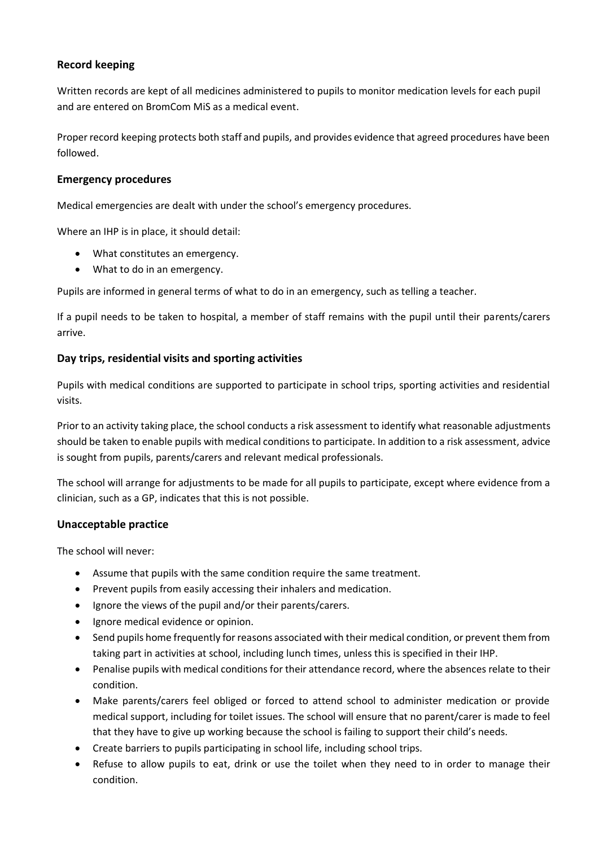#### **Record keeping**

Written records are kept of all medicines administered to pupils to monitor medication levels for each pupil and are entered on BromCom MiS as a medical event.

Proper record keeping protects both staff and pupils, and provides evidence that agreed procedures have been followed.

#### **Emergency procedures**

Medical emergencies are dealt with under the school's emergency procedures.

Where an IHP is in place, it should detail:

- What constitutes an emergency.
- What to do in an emergency.

Pupils are informed in general terms of what to do in an emergency, such as telling a teacher.

If a pupil needs to be taken to hospital, a member of staff remains with the pupil until their parents/carers arrive.

#### **Day trips, residential visits and sporting activities**

Pupils with medical conditions are supported to participate in school trips, sporting activities and residential visits.

Prior to an activity taking place, the school conducts a risk assessment to identify what reasonable adjustments should be taken to enable pupils with medical conditions to participate. In addition to a risk assessment, advice is sought from pupils, parents/carers and relevant medical professionals.

The school will arrange for adjustments to be made for all pupils to participate, except where evidence from a clinician, such as a GP, indicates that this is not possible.

#### **Unacceptable practice**

The school will never:

- Assume that pupils with the same condition require the same treatment.
- Prevent pupils from easily accessing their inhalers and medication.
- Ignore the views of the pupil and/or their parents/carers.
- Ignore medical evidence or opinion.
- Send pupils home frequently for reasons associated with their medical condition, or prevent them from taking part in activities at school, including lunch times, unless this is specified in their IHP.
- Penalise pupils with medical conditions for their attendance record, where the absences relate to their condition.
- Make parents/carers feel obliged or forced to attend school to administer medication or provide medical support, including for toilet issues. The school will ensure that no parent/carer is made to feel that they have to give up working because the school is failing to support their child's needs.
- Create barriers to pupils participating in school life, including school trips.
- Refuse to allow pupils to eat, drink or use the toilet when they need to in order to manage their condition.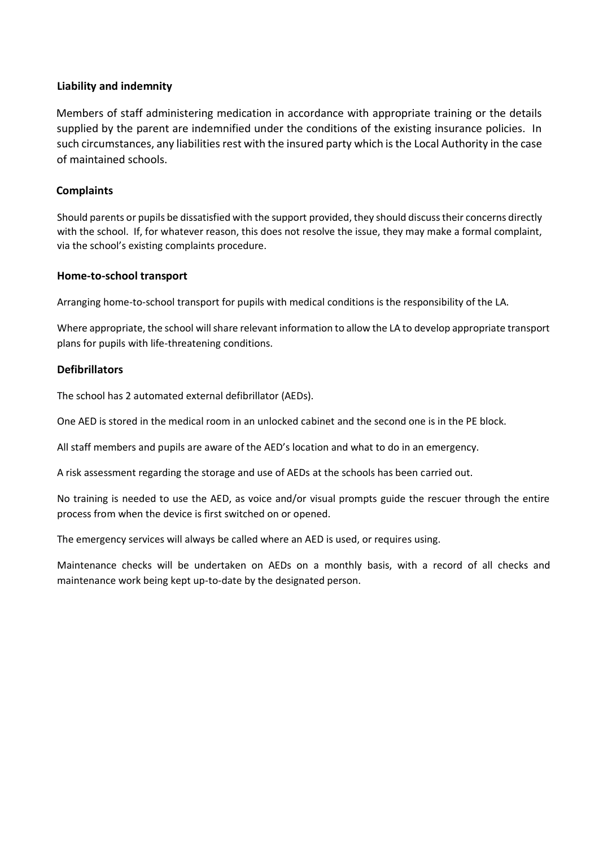#### **Liability and indemnity**

Members of staff administering medication in accordance with appropriate training or the details supplied by the parent are indemnified under the conditions of the existing insurance policies. In such circumstances, any liabilities rest with the insured party which is the Local Authority in the case of maintained schools.

#### **Complaints**

Should parents or pupils be dissatisfied with the support provided, they should discuss their concerns directly with the school. If, for whatever reason, this does not resolve the issue, they may make a formal complaint, via the school's existing complaints procedure.

#### **Home-to-school transport**

Arranging home-to-school transport for pupils with medical conditions is the responsibility of the LA.

Where appropriate, the school will share relevant information to allow the LA to develop appropriate transport plans for pupils with life-threatening conditions.

#### **Defibrillators**

The school has 2 automated external defibrillator (AEDs).

One AED is stored in the medical room in an unlocked cabinet and the second one is in the PE block.

All staff members and pupils are aware of the AED's location and what to do in an emergency.

A risk assessment regarding the storage and use of AEDs at the schools has been carried out.

No training is needed to use the AED, as voice and/or visual prompts guide the rescuer through the entire process from when the device is first switched on or opened.

The emergency services will always be called where an AED is used, or requires using.

Maintenance checks will be undertaken on AEDs on a monthly basis, with a record of all checks and maintenance work being kept up-to-date by the designated person.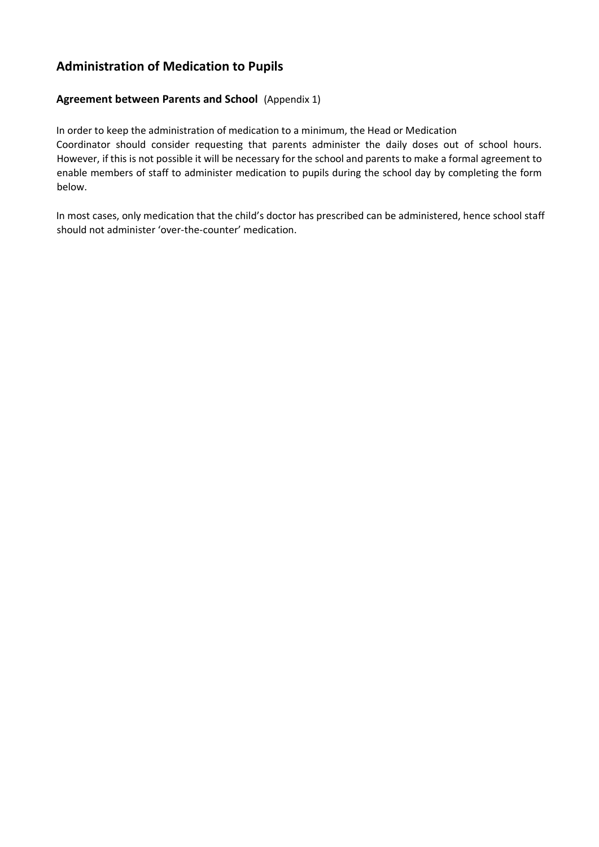#### **Administration of Medication to Pupils**

#### **Agreement between Parents and School** (Appendix 1)

In order to keep the administration of medication to a minimum, the Head or Medication Coordinator should consider requesting that parents administer the daily doses out of school hours. However, if this is not possible it will be necessary for the school and parents to make a formal agreement to enable members of staff to administer medication to pupils during the school day by completing the form below.

In most cases, only medication that the child's doctor has prescribed can be administered, hence school staff should not administer 'over-the-counter' medication.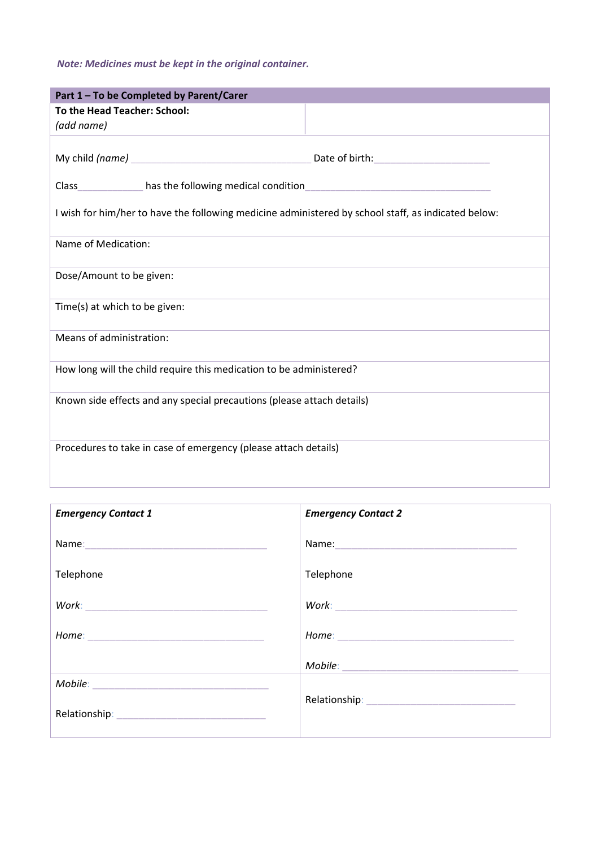#### *Note: Medicines must be kept in the original container.*

| Part 1 - To be Completed by Parent/Carer                                                            |                                            |  |
|-----------------------------------------------------------------------------------------------------|--------------------------------------------|--|
| To the Head Teacher: School:                                                                        |                                            |  |
| (add name)                                                                                          |                                            |  |
|                                                                                                     |                                            |  |
|                                                                                                     | Date of birth: <b>with: Date of birth:</b> |  |
| Class_______________ has the following medical condition_                                           |                                            |  |
| I wish for him/her to have the following medicine administered by school staff, as indicated below: |                                            |  |
| Name of Medication:                                                                                 |                                            |  |
| Dose/Amount to be given:                                                                            |                                            |  |
| Time(s) at which to be given:                                                                       |                                            |  |
| Means of administration:                                                                            |                                            |  |
| How long will the child require this medication to be administered?                                 |                                            |  |
| Known side effects and any special precautions (please attach details)                              |                                            |  |
| Procedures to take in case of emergency (please attach details)                                     |                                            |  |

| <b>Emergency Contact 1</b>                                                                                     | <b>Emergency Contact 2</b> |
|----------------------------------------------------------------------------------------------------------------|----------------------------|
| Name: 1990 - 1990 - 1991 - 1992 - 1993 - 1994 - 1995 - 1996 - 1997 - 1998 - 1999 - 1999 - 1999 - 1999 - 1999 - |                            |
| Telephone                                                                                                      | Telephone                  |
|                                                                                                                |                            |
|                                                                                                                |                            |
|                                                                                                                |                            |
|                                                                                                                |                            |
|                                                                                                                |                            |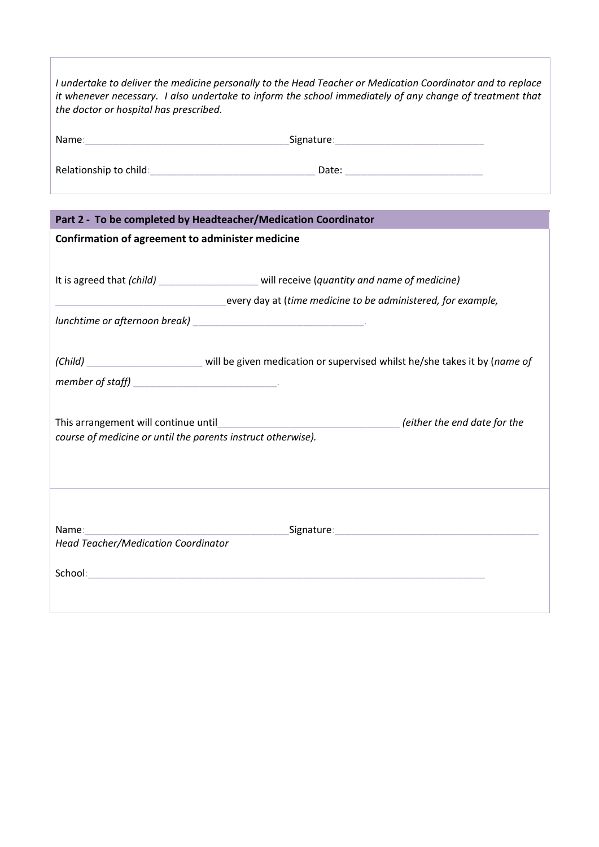| the doctor or hospital has prescribed.                                                               | I undertake to deliver the medicine personally to the Head Teacher or Medication Coordinator and to replace<br>it whenever necessary. I also undertake to inform the school immediately of any change of treatment that |
|------------------------------------------------------------------------------------------------------|-------------------------------------------------------------------------------------------------------------------------------------------------------------------------------------------------------------------------|
|                                                                                                      |                                                                                                                                                                                                                         |
|                                                                                                      |                                                                                                                                                                                                                         |
| Part 2 - To be completed by Headteacher/Medication Coordinator                                       |                                                                                                                                                                                                                         |
| Confirmation of agreement to administer medicine                                                     |                                                                                                                                                                                                                         |
|                                                                                                      |                                                                                                                                                                                                                         |
|                                                                                                      | It is agreed that (child) will receive (quantity and name of medicine)                                                                                                                                                  |
|                                                                                                      | every day at (time medicine to be administered, for example,                                                                                                                                                            |
|                                                                                                      |                                                                                                                                                                                                                         |
|                                                                                                      |                                                                                                                                                                                                                         |
|                                                                                                      | (Child) __________________________ will be given medication or supervised whilst he/she takes it by (name of                                                                                                            |
|                                                                                                      |                                                                                                                                                                                                                         |
| This arrangement will continue until<br>course of medicine or until the parents instruct otherwise). | (either the end date for the                                                                                                                                                                                            |
| Name:<br><b>Head Teacher/Medication Coordinator</b>                                                  |                                                                                                                                                                                                                         |

 $\sqrt{2}$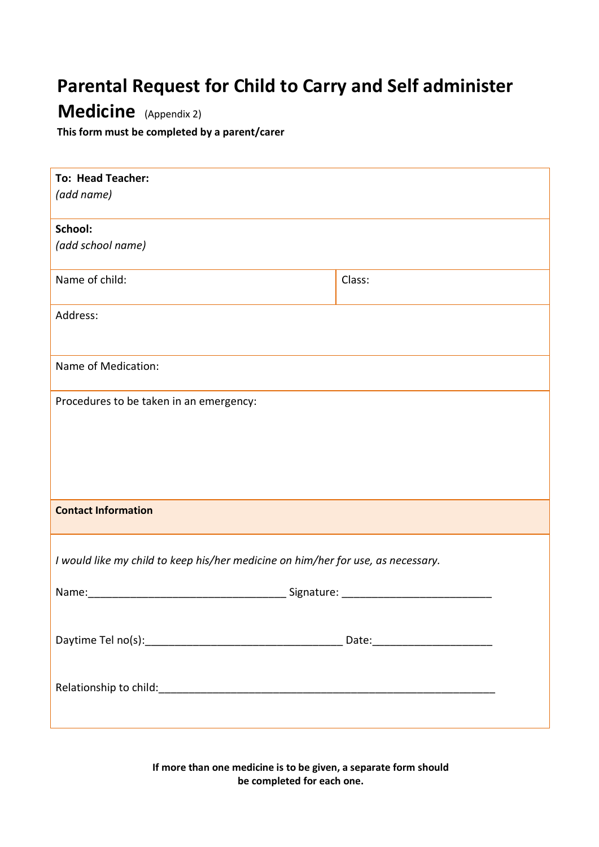### **Parental Request for Child to Carry and Self administer**

### **Medicine** (Appendix 2)

**This form must be completed by a parent/carer** 

| <b>To: Head Teacher:</b><br>(add name)                                                                                                                                                                                         |        |
|--------------------------------------------------------------------------------------------------------------------------------------------------------------------------------------------------------------------------------|--------|
| School:                                                                                                                                                                                                                        |        |
| (add school name)                                                                                                                                                                                                              |        |
| Name of child:                                                                                                                                                                                                                 | Class: |
| Address:                                                                                                                                                                                                                       |        |
| Name of Medication:                                                                                                                                                                                                            |        |
| Procedures to be taken in an emergency:                                                                                                                                                                                        |        |
| <b>Contact Information</b>                                                                                                                                                                                                     |        |
| I would like my child to keep his/her medicine on him/her for use, as necessary.                                                                                                                                               |        |
| Name: Signature: Signature: Signature: Signature: Signature: Signature: Signature: Signature: Signature: Signature: Signature: Signature: Signature: Signature: Signature: Signature: Signature: Signature: Signature: Signatu |        |
|                                                                                                                                                                                                                                |        |
|                                                                                                                                                                                                                                |        |

**If more than one medicine is to be given, a separate form should be completed for each one.**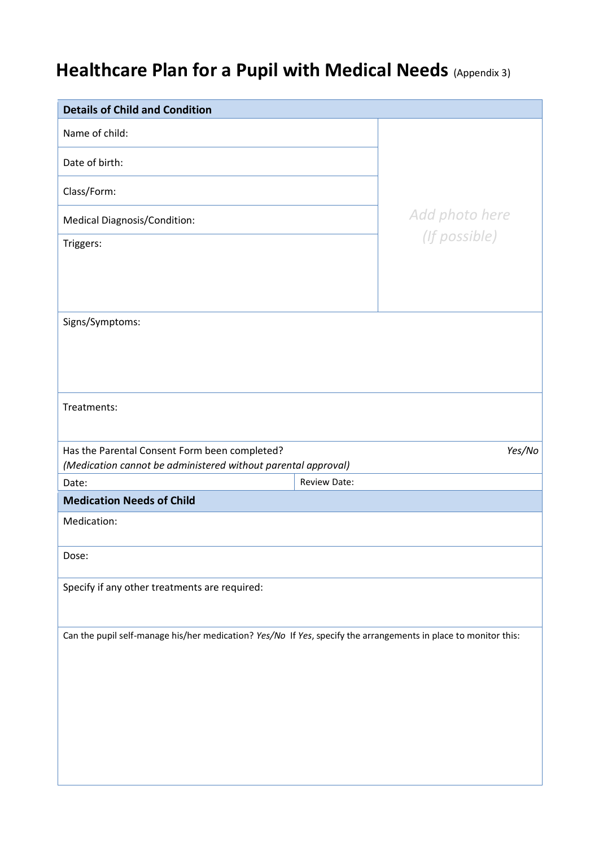### **Healthcare Plan for a Pupil with Medical Needs** (Appendix 3)

| <b>Details of Child and Condition</b>                                                                           |                     |
|-----------------------------------------------------------------------------------------------------------------|---------------------|
| Name of child:                                                                                                  |                     |
| Date of birth:                                                                                                  |                     |
| Class/Form:                                                                                                     |                     |
| Medical Diagnosis/Condition:                                                                                    | Add photo here      |
| Triggers:                                                                                                       | (If possible)       |
|                                                                                                                 |                     |
|                                                                                                                 |                     |
| Signs/Symptoms:                                                                                                 |                     |
|                                                                                                                 |                     |
|                                                                                                                 |                     |
| Treatments:                                                                                                     |                     |
|                                                                                                                 |                     |
| Has the Parental Consent Form been completed?                                                                   | Yes/No              |
|                                                                                                                 |                     |
| (Medication cannot be administered without parental approval)<br>Date:                                          | <b>Review Date:</b> |
| <b>Medication Needs of Child</b>                                                                                |                     |
| Medication:                                                                                                     |                     |
| Dose:                                                                                                           |                     |
| Specify if any other treatments are required:                                                                   |                     |
|                                                                                                                 |                     |
| Can the pupil self-manage his/her medication? Yes/No If Yes, specify the arrangements in place to monitor this: |                     |
|                                                                                                                 |                     |
|                                                                                                                 |                     |
|                                                                                                                 |                     |
|                                                                                                                 |                     |
|                                                                                                                 |                     |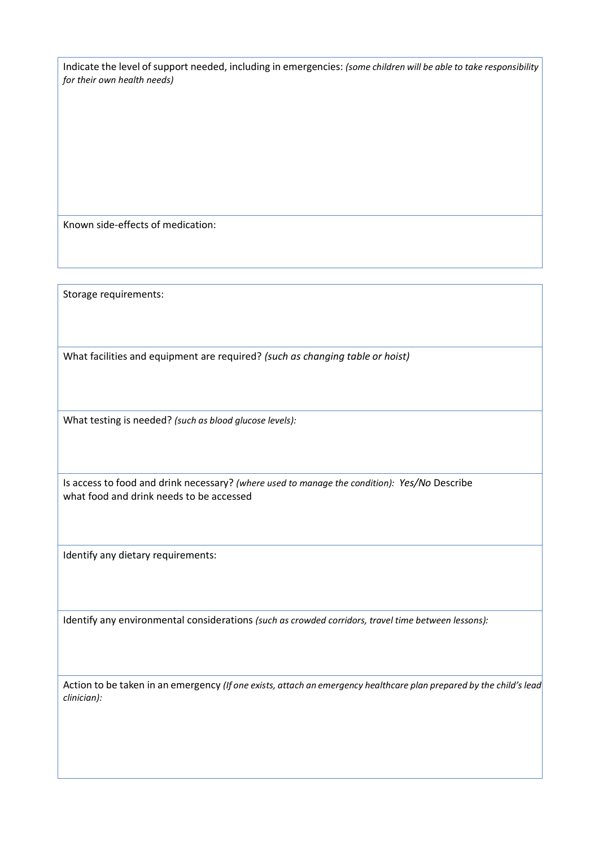Indicate the level of support needed, including in emergencies: *(some children will be able to take responsibility for their own health needs)* 

Known side-effects of medication:

Storage requirements:

What facilities and equipment are required? *(such as changing table or hoist)*

What testing is needed? *(such as blood glucose levels):*

Is access to food and drink necessary? *(where used to manage the condition): Yes/No* Describe what food and drink needs to be accessed

Identify any dietary requirements:

Identify any environmental considerations *(such as crowded corridors, travel time between lessons):* 

Action to be taken in an emergency *(If one exists, attach an emergency healthcare plan prepared by the child's lead clinician):*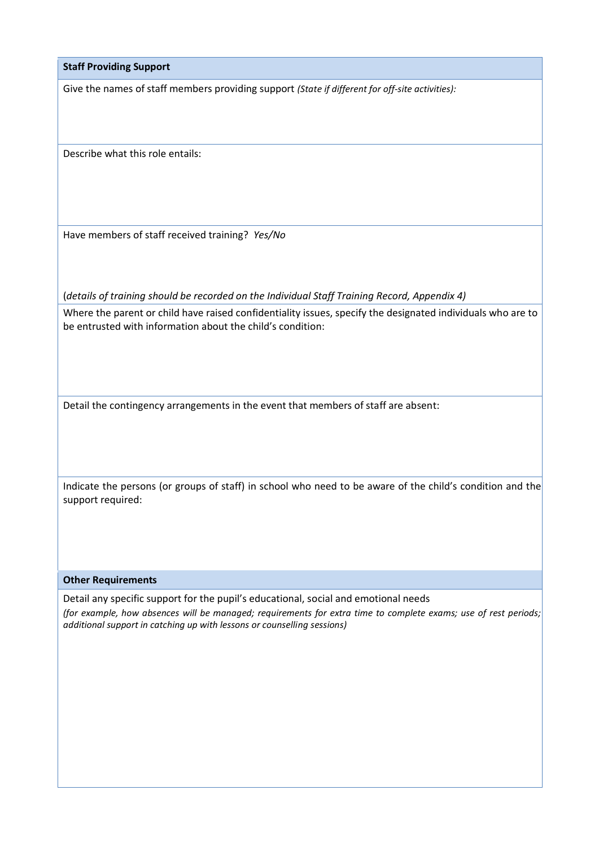**Staff Providing Support** 

Give the names of staff members providing support *(State if different for off-site activities):*

Describe what this role entails:

Have members of staff received training? *Yes/No*

(*details of training should be recorded on the Individual Staff Training Record, Appendix 4)* 

Where the parent or child have raised confidentiality issues, specify the designated individuals who are to be entrusted with information about the child's condition:

Detail the contingency arrangements in the event that members of staff are absent:

Indicate the persons (or groups of staff) in school who need to be aware of the child's condition and the support required:

**Other Requirements** 

Detail any specific support for the pupil's educational, social and emotional needs *(for example, how absences will be managed; requirements for extra time to complete exams; use of rest periods; additional support in catching up with lessons or counselling sessions)*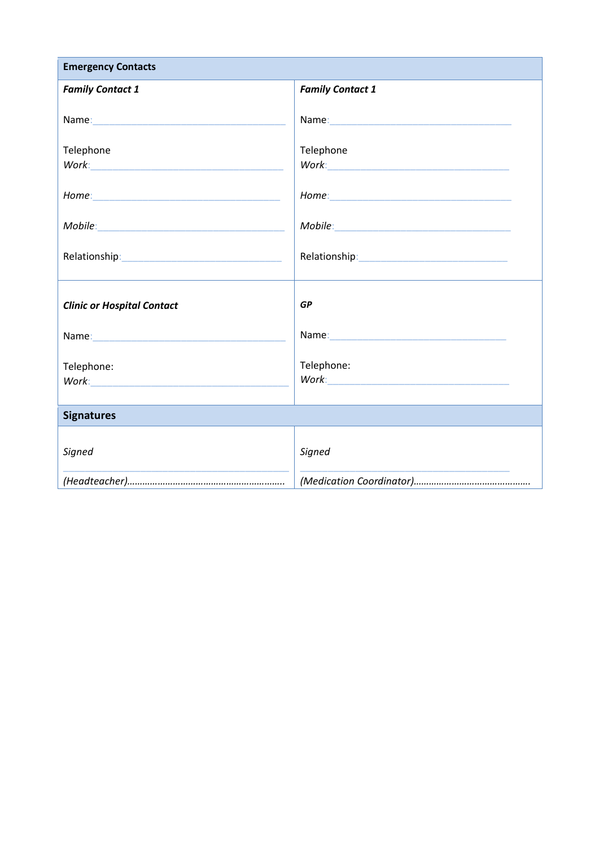| <b>Emergency Contacts</b>         |                                                                                                                                                                                                                               |
|-----------------------------------|-------------------------------------------------------------------------------------------------------------------------------------------------------------------------------------------------------------------------------|
| <b>Family Contact 1</b>           | <b>Family Contact 1</b>                                                                                                                                                                                                       |
|                                   |                                                                                                                                                                                                                               |
| Telephone                         | Telephone                                                                                                                                                                                                                     |
|                                   |                                                                                                                                                                                                                               |
|                                   |                                                                                                                                                                                                                               |
|                                   |                                                                                                                                                                                                                               |
| <b>Clinic or Hospital Contact</b> | <b>GP</b>                                                                                                                                                                                                                     |
|                                   | Name: Name: Name: Name: Name: Name: Name: Name: Name: Name: Name: Name: Name: Name: Name: Name: Name: Name: Name: Name: Name: Name: Name: Name: Name: Name: Name: Name: Name: Name: Name: Name: Name: Name: Name: Name: Name: |
| Telephone:                        | Telephone:                                                                                                                                                                                                                    |
| <b>Signatures</b>                 |                                                                                                                                                                                                                               |
| Signed                            | Signed                                                                                                                                                                                                                        |
|                                   |                                                                                                                                                                                                                               |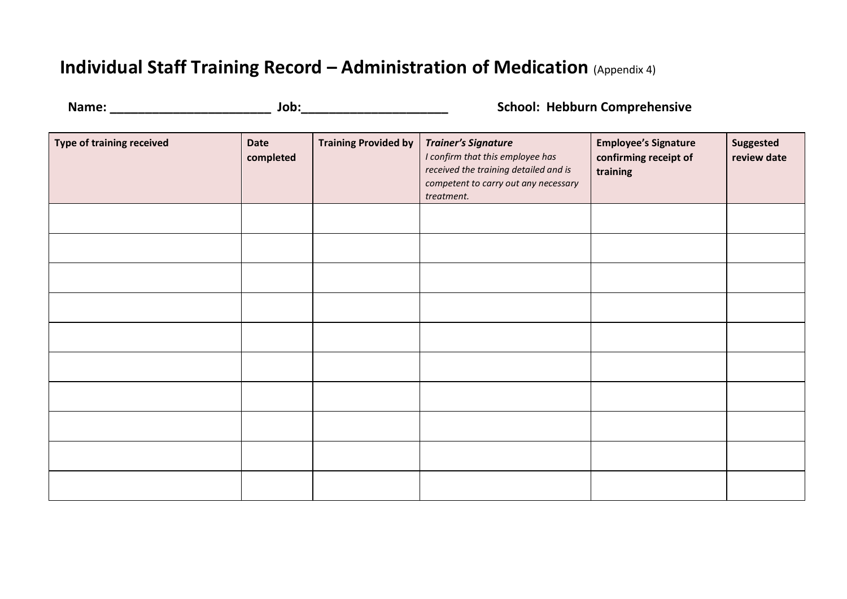### **Individual Staff Training Record – Administration of Medication** (Appendix 4)

| Name: |  |  |  |
|-------|--|--|--|
|       |  |  |  |

**Name: \_\_\_\_\_\_\_\_\_\_\_\_\_\_\_\_\_\_\_\_\_\_\_ Job:\_\_\_\_\_\_\_\_\_\_\_\_\_\_\_\_\_\_\_\_\_ School: Hebburn Comprehensive** 

| Type of training received | Date<br>completed | <b>Training Provided by</b> | <b>Trainer's Signature</b><br>I confirm that this employee has<br>received the training detailed and is<br>competent to carry out any necessary<br>treatment. | <b>Employee's Signature</b><br>confirming receipt of<br>training | Suggested<br>review date |
|---------------------------|-------------------|-----------------------------|---------------------------------------------------------------------------------------------------------------------------------------------------------------|------------------------------------------------------------------|--------------------------|
|                           |                   |                             |                                                                                                                                                               |                                                                  |                          |
|                           |                   |                             |                                                                                                                                                               |                                                                  |                          |
|                           |                   |                             |                                                                                                                                                               |                                                                  |                          |
|                           |                   |                             |                                                                                                                                                               |                                                                  |                          |
|                           |                   |                             |                                                                                                                                                               |                                                                  |                          |
|                           |                   |                             |                                                                                                                                                               |                                                                  |                          |
|                           |                   |                             |                                                                                                                                                               |                                                                  |                          |
|                           |                   |                             |                                                                                                                                                               |                                                                  |                          |
|                           |                   |                             |                                                                                                                                                               |                                                                  |                          |
|                           |                   |                             |                                                                                                                                                               |                                                                  |                          |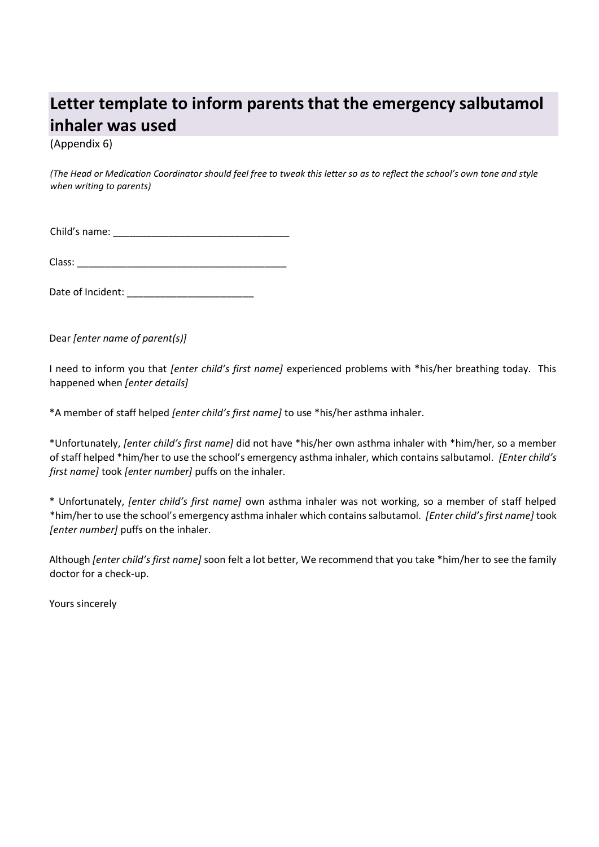### **Letter template to inform parents that the emergency salbutamol inhaler was used**

(Appendix 6)

*(The Head or Medication Coordinator should feel free to tweak this letter so as to reflect the school's own tone and style when writing to parents)* 

Child's name: \_\_\_\_\_\_\_\_\_\_\_\_\_\_\_\_\_\_\_\_\_\_\_\_\_\_\_\_\_\_\_\_

Class:

Date of Incident: \_\_\_\_\_\_\_\_\_\_\_\_\_\_\_\_\_\_\_\_\_\_\_

Dear *[enter name of parent(s)]*

I need to inform you that *[enter child's first name]* experienced problems with \*his/her breathing today. This happened when *[enter details]*

\*A member of staff helped *[enter child's first name]* to use \*his/her asthma inhaler.

\*Unfortunately, *[enter child's first name]* did not have \*his/her own asthma inhaler with \*him/her, so a member of staff helped \*him/her to use the school's emergency asthma inhaler, which contains salbutamol. *[Enter child's first name]* took *[enter number]* puffs on the inhaler.

\* Unfortunately, *[enter child's first name]* own asthma inhaler was not working, so a member of staff helped \*him/her to use the school's emergency asthma inhaler which contains salbutamol. *[Enter child's first name]* took *[enter number]* puffs on the inhaler.

Although *[enter child's first name]* soon felt a lot better, We recommend that you take \*him/her to see the family doctor for a check-up.

Yours sincerely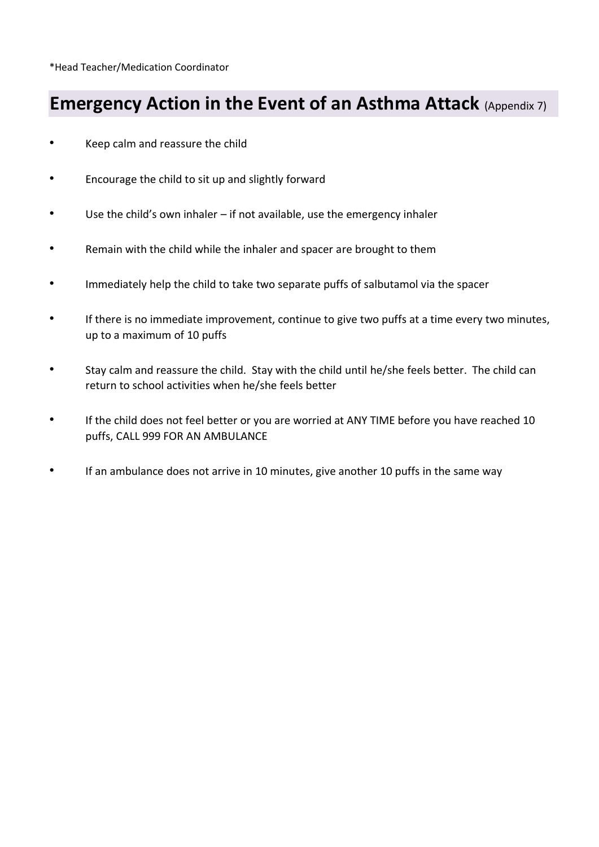\*Head Teacher/Medication Coordinator

### **Emergency Action in the Event of an Asthma Attack (Appendix 7)**

- Keep calm and reassure the child
- Encourage the child to sit up and slightly forward
- Use the child's own inhaler if not available, use the emergency inhaler
- Remain with the child while the inhaler and spacer are brought to them
- Immediately help the child to take two separate puffs of salbutamol via the spacer
- If there is no immediate improvement, continue to give two puffs at a time every two minutes, up to a maximum of 10 puffs
- Stay calm and reassure the child. Stay with the child until he/she feels better. The child can return to school activities when he/she feels better
- If the child does not feel better or you are worried at ANY TIME before you have reached 10 puffs, CALL 999 FOR AN AMBULANCE
- If an ambulance does not arrive in 10 minutes, give another 10 puffs in the same way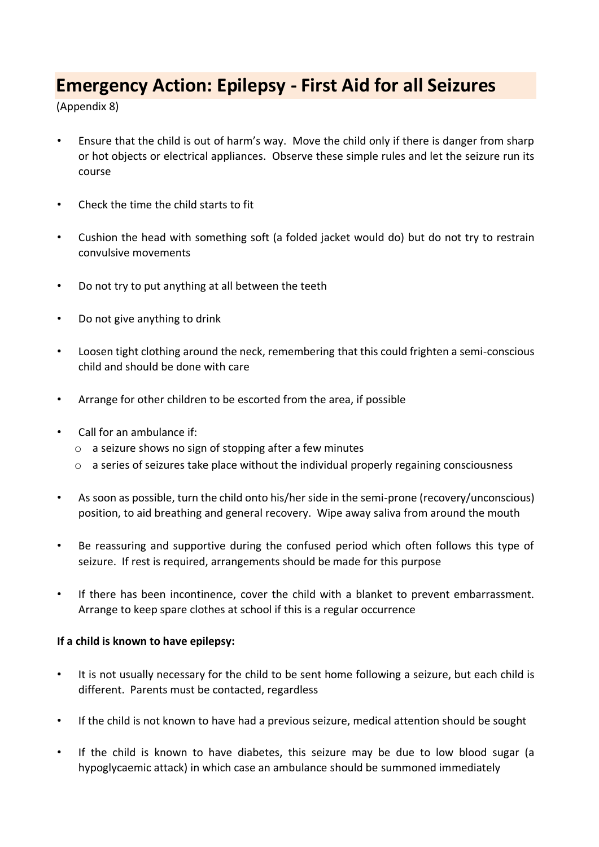### **Emergency Action: Epilepsy - First Aid for all Seizures**

(Appendix 8)

- Ensure that the child is out of harm's way. Move the child only if there is danger from sharp or hot objects or electrical appliances. Observe these simple rules and let the seizure run its course
- Check the time the child starts to fit
- Cushion the head with something soft (a folded jacket would do) but do not try to restrain convulsive movements
- Do not try to put anything at all between the teeth
- Do not give anything to drink
- Loosen tight clothing around the neck, remembering that this could frighten a semi-conscious child and should be done with care
- Arrange for other children to be escorted from the area, if possible
- Call for an ambulance if:
	- o a seizure shows no sign of stopping after a few minutes
	- o a series of seizures take place without the individual properly regaining consciousness
- As soon as possible, turn the child onto his/her side in the semi-prone (recovery/unconscious) position, to aid breathing and general recovery. Wipe away saliva from around the mouth
- Be reassuring and supportive during the confused period which often follows this type of seizure. If rest is required, arrangements should be made for this purpose
- If there has been incontinence, cover the child with a blanket to prevent embarrassment. Arrange to keep spare clothes at school if this is a regular occurrence

#### **If a child is known to have epilepsy:**

- It is not usually necessary for the child to be sent home following a seizure, but each child is different. Parents must be contacted, regardless
- If the child is not known to have had a previous seizure, medical attention should be sought
- If the child is known to have diabetes, this seizure may be due to low blood sugar (a hypoglycaemic attack) in which case an ambulance should be summoned immediately